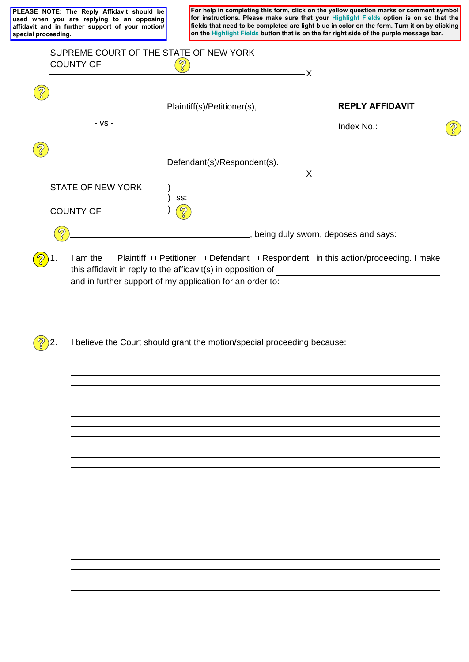**PLEASE NOTE: The Reply Affidavit should be used when you are replying to an opposing affidavit and in further support of your motion/ special proceeding.**

**For help in completing this form, click on the yellow question marks or comment symbol for instructions. Please make sure that your Highlight Fields option is on so that the fields that need to be completed are light blue in color on the form. Turn it on by clicking on the Highlight Fields button that is on the far right side of the purple message bar.** 

 $\widehat{\mathscr{C}}$ 

| <b>COUNTY OF</b>         | $\mathcal{D}$                                                                                                                                                                                                                                 | - X                                  |
|--------------------------|-----------------------------------------------------------------------------------------------------------------------------------------------------------------------------------------------------------------------------------------------|--------------------------------------|
| - VS -                   | Plaintiff(s)/Petitioner(s),                                                                                                                                                                                                                   | <b>REPLY AFFIDAVIT</b><br>Index No.: |
|                          |                                                                                                                                                                                                                                               |                                      |
|                          | Defendant(s)/Respondent(s).                                                                                                                                                                                                                   | -X                                   |
| <b>STATE OF NEW YORK</b> | SS:                                                                                                                                                                                                                                           |                                      |
| <b>COUNTY OF</b>         |                                                                                                                                                                                                                                               |                                      |
| $\sqrt{2}$               | in the same state of the same same same says:                                                                                                                                                                                                 |                                      |
|                          | I am the $\Box$ Plaintiff $\Box$ Petitioner $\Box$ Defendant $\Box$ Respondent in this action/proceeding. I make<br>this affidavit in reply to the affidavit(s) in opposition of<br>and in further support of my application for an order to: |                                      |
|                          |                                                                                                                                                                                                                                               |                                      |
|                          | I believe the Court should grant the motion/special proceeding because:                                                                                                                                                                       |                                      |
|                          |                                                                                                                                                                                                                                               |                                      |
|                          |                                                                                                                                                                                                                                               |                                      |
|                          |                                                                                                                                                                                                                                               |                                      |
|                          |                                                                                                                                                                                                                                               |                                      |
|                          |                                                                                                                                                                                                                                               |                                      |
|                          |                                                                                                                                                                                                                                               |                                      |
|                          |                                                                                                                                                                                                                                               |                                      |
|                          |                                                                                                                                                                                                                                               |                                      |
|                          |                                                                                                                                                                                                                                               |                                      |
|                          |                                                                                                                                                                                                                                               |                                      |
|                          |                                                                                                                                                                                                                                               |                                      |